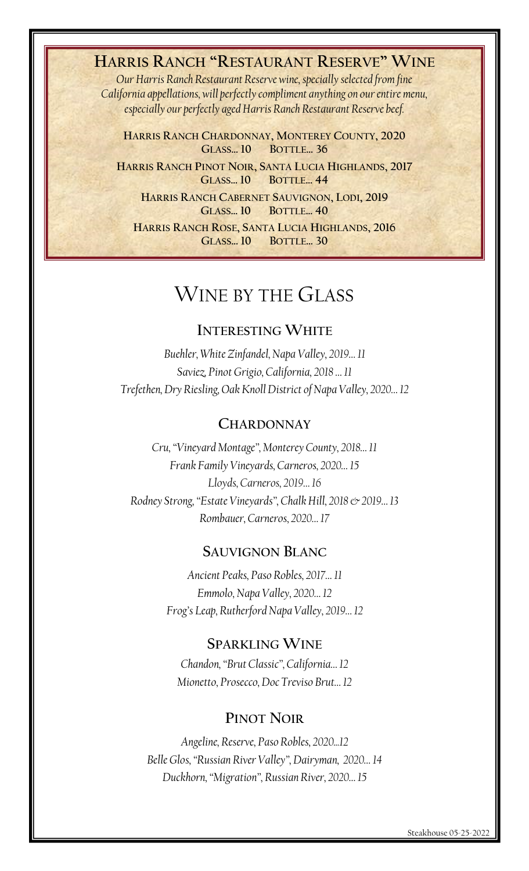## **HARRIS RANCH "RESTAURANT RESERVE" WINE**

*Our Harris Ranch Restaurant Reserve wine, specially selected from fine California appellations, will perfectly compliment anything on our entire menu, especially our perfectly aged Harris Ranch Restaurant Reserve beef.*

**HARRIS RANCH CHARDONNAY, MONTEREY COUNTY, 2020 GLASS… 10 BOTTLE… 36**

**HARRIS RANCH PINOT NOIR, SANTA LUCIA HIGHLANDS, 2017 GLASS… 10 BOTTLE… 44**

**HARRIS RANCH CABERNET SAUVIGNON, LODI, 2019 GLASS… 10 BOTTLE… 40**

**HARRIS RANCH ROSE, SANTA LUCIA HIGHLANDS, 2016 GLASS… 10 BOTTLE… 30**

## WINE BY THE GLASS

## **INTERESTING WHITE**

*Buehler, White Zinfandel, Napa Valley, 2019… 11 Saviez, Pinot Grigio, California, 2018 … 11 Trefethen, Dry Riesling, Oak Knoll District of Napa Valley, 2020… 12*

### **CHARDONNAY**

*Cru, "Vineyard Montage", Monterey County, 2018… 11 Frank Family Vineyards, Carneros, 2020… 15 Lloyds, Carneros, 2019… 16 Rodney Strong, "Estate Vineyards", Chalk Hill, 2018 & 2019… 13 Rombauer, Carneros, 2020… 17*

### **SAUVIGNON BLANC**

*Ancient Peaks, Paso Robles, 2017… 11 Emmolo, Napa Valley, 2020… 12 Frog's Leap, Rutherford Napa Valley, 2019… 12*

## **SPARKLING WINE**

*Chandon, "Brut Classic", California… 12 Mionetto, Prosecco, Doc Treviso Brut… 12*

## **PINOT NOIR**

*Angeline, Reserve, Paso Robles, 2020...12 Belle Glos, "Russian River Valley", Dairyman, 2020… 14 Duckhorn, "Migration", Russian River, 2020… 15*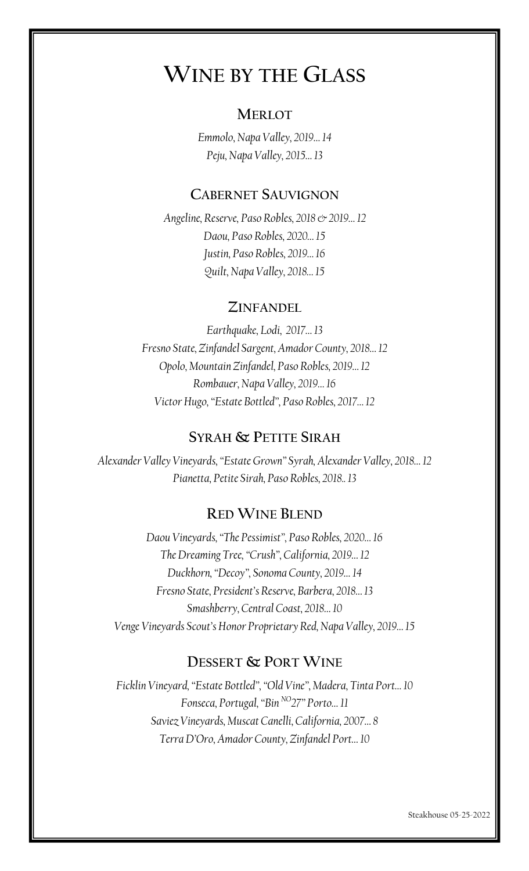# **WINE BY THE GLASS**

## **MERLOT**

*Emmolo, Napa Valley, 2019… 14 Peju, Napa Valley, 2015… 13*

## **CABERNET SAUVIGNON**

*Angeline, Reserve, Paso Robles, 2018 & 2019… 12 Daou, Paso Robles, 2020… 15 Justin, Paso Robles, 2019… 16 Quilt, Napa Valley, 2018… 15*

## **ZINFANDEL**

*Earthquake, Lodi, 2017… 13 Fresno State, Zinfandel Sargent, Amador County, 2018… 12 Opolo, Mountain Zinfandel, Paso Robles, 2019… 12 Rombauer, Napa Valley, 2019… 16 Victor Hugo, "Estate Bottled", Paso Robles, 2017… 12*

## **SYRAH & PETITE SIRAH**

*Alexander Valley Vineyards, "Estate Grown" Syrah, Alexander Valley, 2018… 12 Pianetta, Petite Sirah, Paso Robles, 2018.. 13*

## **RED WINE BLEND**

*Daou Vineyards, "The Pessimist", Paso Robles, 2020… 16 The Dreaming Tree, "Crush", California, 2019… 12 Duckhorn, "Decoy", Sonoma County, 2019… 14 Fresno State, President's Reserve, Barbera, 2018… 13 Smashberry, Central Coast, 2018… 10 Venge Vineyards Scout's Honor Proprietary Red, Napa Valley, 2019… 15*

## **DESSERT & PORT WINE**

*Ficklin Vineyard, "Estate Bottled", "Old Vine", Madera, Tinta Port… 10 Fonseca, Portugal, "Bin NO27" Porto… 11 Saviez Vineyards, Muscat Canelli, California, 2007… 8 Terra D'Oro, Amador County, Zinfandel Port… 10*

Steakhouse 05-25-2022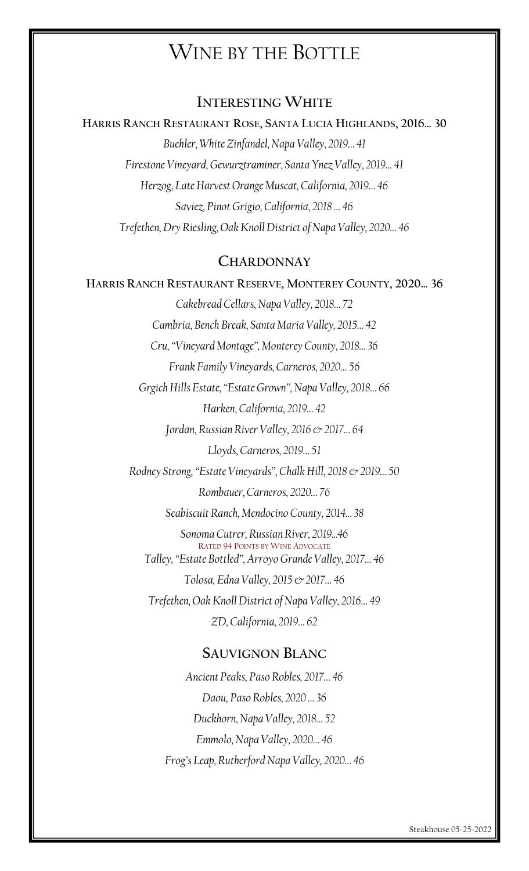## WINE BY THE BOTTLE

## **INTERESTING WHITE**

**HARRIS RANCH RESTAURANT ROSE, SANTA LUCIA HIGHLANDS, 2016… 30** *Buehler, White Zinfandel, Napa Valley, 2019… 41 Firestone Vineyard, Gewurztraminer, Santa Ynez Valley, 2019… 41 Herzog, Late Harvest Orange Muscat, California, 2019… 46 Saviez, Pinot Grigio, California, 2018 … 46 Trefethen, Dry Riesling, Oak Knoll District of Napa Valley, 2020… 46*

### **CHARDONNAY**

#### **HARRIS RANCH RESTAURANT RESERVE, MONTEREY COUNTY, 2020… 36**

*Cakebread Cellars, Napa Valley, 2018… 72 Cambria, Bench Break, Santa Maria Valley, 2015… 42 Cru, "Vineyard Montage", Monterey County, 2018… 36 Frank Family Vineyards, Carneros, 2020… 56 Grgich Hills Estate, "Estate Grown", Napa Valley, 2018… 66 Harken, California, 2019… 42 Jordan, Russian River Valley, 2016 & 2017… 64 Lloyds, Carneros, 2019… 51 Rodney Strong, "Estate Vineyards", Chalk Hill, 2018 & 2019… 50 Rombauer, Carneros, 2020… 76 Seabiscuit Ranch, Mendocino County, 2014… 38 Sonoma Cutrer, Russian River, 2019...46* RATED 94 POINTS BY WINE ADVOCATE *Talley, "Estate Bottled", Arroyo Grande Valley, 2017… 46 Tolosa, Edna Valley, 2015 & 2017… 46 Trefethen, Oak Knoll District of Napa Valley, 2016… 49 ZD, California, 2019… 62*

## **SAUVIGNON BLANC**

*Ancient Peaks, Paso Robles, 2017… 46 Daou, Paso Robles, 2020 … 36 Duckhorn, Napa Valley, 2018… 52 Emmolo, Napa Valley, 2020… 46 Frog's Leap, Rutherford Napa Valley, 2020… 46*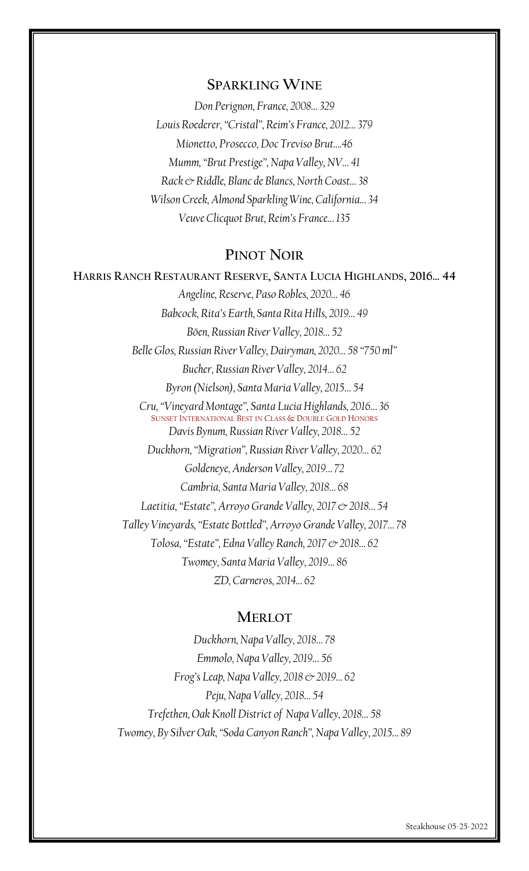#### **SPARKLING WINE**

*Don Perignon, France, 2008… 329 Louis Roederer, "Cristal", Reim's France, 2012… 379 Mionetto, Prosecco, Doc Treviso Brut….46 Mumm, "Brut Prestige", Napa Valley, NV… 41 Rack & Riddle, Blanc de Blancs, North Coast… 38 Wilson Creek, Almond Sparkling Wine, California… 34 Veuve Clicquot Brut, Reim's France… 135*

## **PINOT NOIR**

## **HARRIS RANCH RESTAURANT RESERVE, SANTA LUCIA HIGHLANDS, 2016… 44**

*Angeline, Reserve, Paso Robles, 2020… 46 Babcock, Rita's Earth, Santa Rita Hills, 2019… 49 Böen, Russian River Valley, 2018… 52 Belle Glos, Russian River Valley, Dairyman, 2020… 58 "750 ml" Bucher, Russian River Valley, 2014… 62 Byron (Nielson), Santa Maria Valley, 2015… 54 Cru, "Vineyard Montage", Santa Lucia Highlands, 2016… 36* SUNSET INTERNATIONAL BEST IN CLASS & DOUBLE GOLD HONORS *Davis Bynum, Russian River Valley, 2018… 52 Duckhorn, "Migration", Russian River Valley, 2020… 62 Goldeneye, Anderson Valley, 2019… 72 Cambria, Santa Maria Valley, 2018… 68 Laetitia, "Estate", Arroyo Grande Valley, 2017 & 2018… 54 Talley Vineyards, "Estate Bottled", Arroyo Grande Valley, 2017… 78 Tolosa, "Estate", Edna Valley Ranch, 2017 & 2018… 62 Twomey, Santa Maria Valley, 2019… 86 ZD, Carneros, 2014… 62*

### **MERLOT**

*Duckhorn, Napa Valley, 2018… 78 Emmolo, Napa Valley, 2019… 56 Frog's Leap, Napa Valley, 2018 & 2019… 62 Peju, Napa Valley, 2018… 54 Trefethen, Oak Knoll District of Napa Valley, 2018… 58 Twomey, By Silver Oak, "Soda Canyon Ranch", Napa Valley, 2015… 89*

Steakhouse 05-25-2022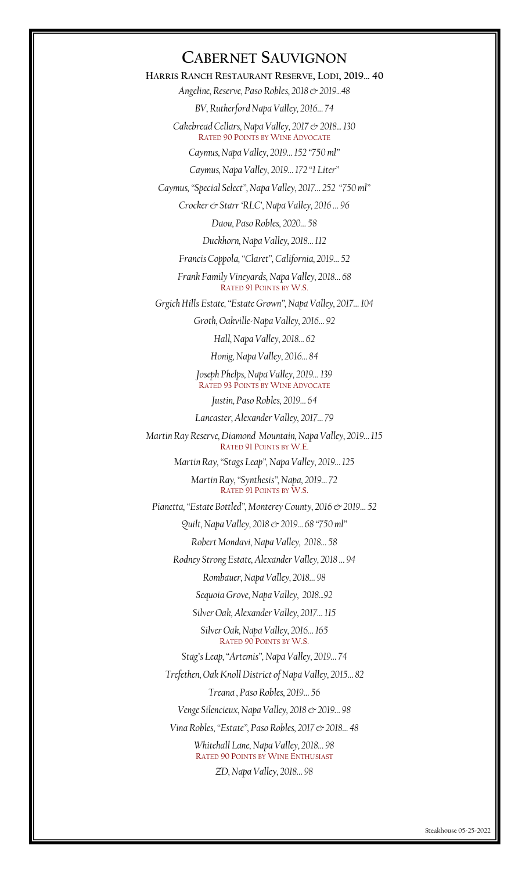## **CABERNET SAUVIGNON**

**HARRIS RANCH RESTAURANT RESERVE, LODI, 2019… 40** *Angeline, Reserve, Paso Robles, 2018 & 2019...48*

*BV, Rutherford Napa Valley, 2016… 74*

*Cakebread Cellars, Napa Valley, 2017 & 2018... 130* RATED 90 POINTS BY WINE ADVOCATE

*Caymus, Napa Valley, 2019… 152 "750 ml"*

*Caymus, Napa Valley, 2019… 172 "1 Liter"*

*Caymus, "Special Select", Napa Valley, 2017… 252 "750 ml"*

*Crocker & Starr 'RLC', Napa Valley, 2016 … 96*

*Daou, Paso Robles, 2020… 58*

*Duckhorn, Napa Valley, 2018… 112*

*Francis Coppola, "Claret", California, 2019… 52*

*Frank Family Vineyards, Napa Valley, 2018… 68* RATED 91 POINTS BY W.S.

*Grgich Hills Estate, "Estate Grown", Napa Valley, 2017… 104*

*Groth, Oakville-Napa Valley, 2016… 92*

*Hall, Napa Valley, 2018… 62*

*Honig, Napa Valley, 2016… 84*

*Joseph Phelps, Napa Valley, 2019… 139* RATED 93 POINTS BY WINE ADVOCATE

*Justin, Paso Robles, 2019… 64*

*Lancaster, Alexander Valley, 2017… 79*

*Martin Ray Reserve, Diamond Mountain, Napa Valley, 2019… 115* RATED 91 POINTS BY W.E.

*Martin Ray, "Stags Leap", Napa Valley, 2019… 125*

*Martin Ray, "Synthesis", Napa, 2019… 72* RATED 91 POINTS BY W.S.

*Pianetta, "Estate Bottled", Monterey County, 2016 & 2019… 52*

*Quilt, Napa Valley, 2018 & 2019… 68 "750 ml"*

*Robert Mondavi, Napa Valley, 2018… 58*

*Rodney Strong Estate, Alexander Valley, 2018 … 94*

*Rombauer, Napa Valley, 2018… 98*

*Sequoia Grove, Napa Valley, 2018...92*

*Silver Oak, Alexander Valley, 2017… 115*

*Silver Oak, Napa Valley, 2016… 165* RATED 90 POINTS BY W.S.

*Stag's Leap, "Artemis", Napa Valley, 2019… 74*

*Trefethen, Oak Knoll District of Napa Valley, 2015… 82*

*Treana , Paso Robles, 2019… 56*

*Venge Silencieux, Napa Valley, 2018 & 2019… 98*

*Vina Robles, "Estate", Paso Robles, 2017 & 2018… 48*

*Whitehall Lane, Napa Valley, 2018… 98* RATED 90 POINTS BY WINE ENTHUSIAST *ZD, Napa Valley, 2018… 98*